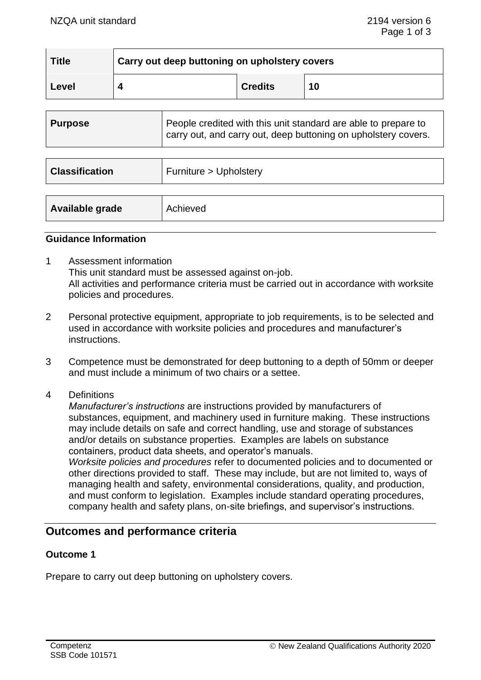| <b>Title</b> | Carry out deep buttoning on upholstery covers |                |    |  |
|--------------|-----------------------------------------------|----------------|----|--|
| Level        |                                               | <b>Credits</b> | 10 |  |

| <b>Purpose</b>        | People credited with this unit standard are able to prepare to<br>carry out, and carry out, deep buttoning on upholstery covers. |
|-----------------------|----------------------------------------------------------------------------------------------------------------------------------|
|                       |                                                                                                                                  |
| <b>Classification</b> | Furniture > Upholstery                                                                                                           |
|                       |                                                                                                                                  |
| Available grade       | Achieved                                                                                                                         |

#### **Guidance Information**

- 1 Assessment information This unit standard must be assessed against on-job. All activities and performance criteria must be carried out in accordance with worksite policies and procedures.
- 2 Personal protective equipment, appropriate to job requirements, is to be selected and used in accordance with worksite policies and procedures and manufacturer's instructions.
- 3 Competence must be demonstrated for deep buttoning to a depth of 50mm or deeper and must include a minimum of two chairs or a settee.
- 4 Definitions

*Manufacturer's instructions* are instructions provided by manufacturers of substances, equipment, and machinery used in furniture making. These instructions may include details on safe and correct handling, use and storage of substances and/or details on substance properties. Examples are labels on substance containers, product data sheets, and operator's manuals. *Worksite policies and procedures* refer to documented policies and to documented or other directions provided to staff. These may include, but are not limited to, ways of managing health and safety, environmental considerations, quality, and production, and must conform to legislation. Examples include standard operating procedures,

## company health and safety plans, on-site briefings, and supervisor's instructions.

## **Outcomes and performance criteria**

## **Outcome 1**

Prepare to carry out deep buttoning on upholstery covers.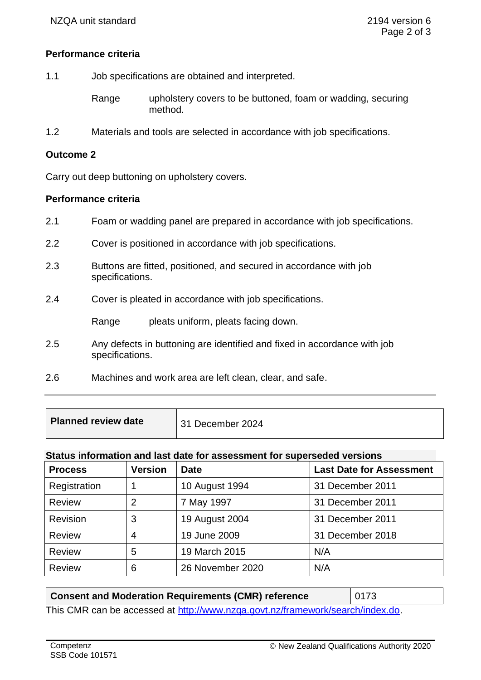## **Performance criteria**

- 1.1 Job specifications are obtained and interpreted.
	- Range upholstery covers to be buttoned, foam or wadding, securing method.
- 1.2 Materials and tools are selected in accordance with job specifications.

## **Outcome 2**

Carry out deep buttoning on upholstery covers.

#### **Performance criteria**

- 2.1 Foam or wadding panel are prepared in accordance with job specifications.
- 2.2 Cover is positioned in accordance with job specifications.
- 2.3 Buttons are fitted, positioned, and secured in accordance with job specifications.
- 2.4 Cover is pleated in accordance with job specifications.

Range pleats uniform, pleats facing down.

- 2.5 Any defects in buttoning are identified and fixed in accordance with job specifications.
- 2.6 Machines and work area are left clean, clear, and safe.

| <b>Planned review date</b> | 31 December 2024 |
|----------------------------|------------------|
|                            |                  |

#### **Status information and last date for assessment for superseded versions**

| <b>Process</b> | <b>Version</b> | <b>Date</b>      | <b>Last Date for Assessment</b> |
|----------------|----------------|------------------|---------------------------------|
| Registration   |                | 10 August 1994   | 31 December 2011                |
| <b>Review</b>  | 2              | 7 May 1997       | 31 December 2011                |
| Revision       | 3              | 19 August 2004   | 31 December 2011                |
| Review         | 4              | 19 June 2009     | 31 December 2018                |
| <b>Review</b>  | 5              | 19 March 2015    | N/A                             |
| <b>Review</b>  | 6              | 26 November 2020 | N/A                             |

| <b>Consent and Moderation Requirements (CMR) reference</b>                     | $\parallel$ 0173 |
|--------------------------------------------------------------------------------|------------------|
| This CMR can be accessed at http://www.nzga.govt.nz/framework/search/index.do. |                  |